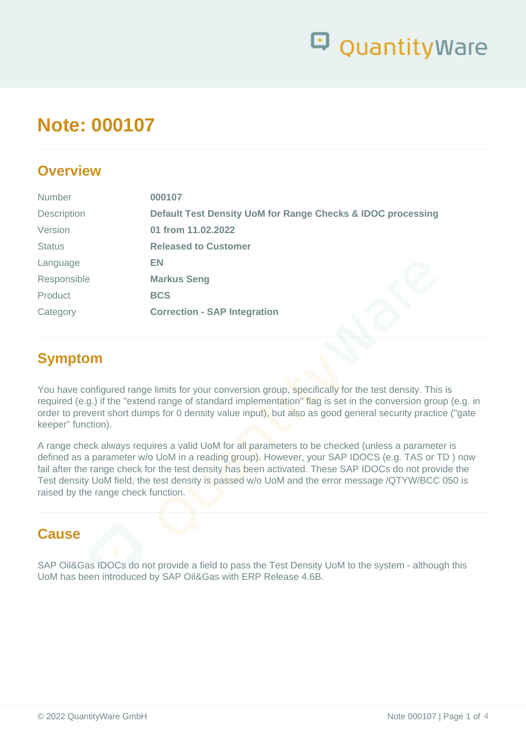

# **Note: 000107**

### **Overview**

| <b>Number</b>      | 000107                                                      |
|--------------------|-------------------------------------------------------------|
| <b>Description</b> | Default Test Density UoM for Range Checks & IDOC processing |
| Version            | 01 from 11.02.2022                                          |
| <b>Status</b>      | <b>Released to Customer</b>                                 |
| Language           | EN                                                          |
| Responsible        | <b>Markus Seng</b>                                          |
| Product            | <b>BCS</b>                                                  |
| Category           | <b>Correction - SAP Integration</b>                         |
|                    |                                                             |

## **Symptom**

You have configured range limits for your conversion group, specifically for the test density. This is required (e.g.) if the "extend range of standard implementation" flag is set in the conversion group (e.g. in order to prevent short dumps for 0 density value input), but also as good general security practice ("gate keeper" function).

A range check always requires a valid UoM for all parameters to be checked (unless a parameter is defined as a parameter w/o UoM in a reading group). However, your SAP IDOCS (e.g. TAS or TD ) now fail after the range check for the test density has been activated. These SAP IDOCs do not provide the Test density UoM field, the test density is passed w/o UoM and the error message /QTYW/BCC 050 is raised by the range check function.

### **Cause**

SAP Oil&Gas IDOCs do not provide a field to pass the Test Density UoM to the system - although this UoM has been introduced by SAP Oil&Gas with ERP Release 4.6B.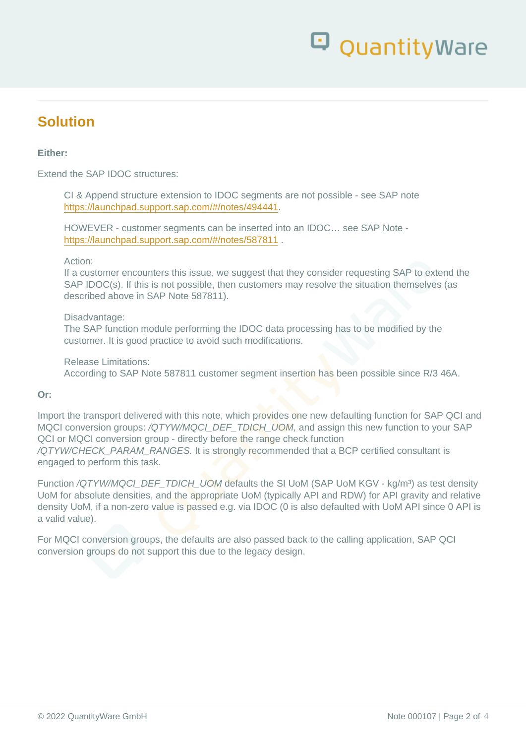## **Solution**

#### Either:

Extend the SAP IDOC structures:

CI & Append structure extension to IDOC segments are not possible - see SAP note <https://launchpad.support.sap.com/#/notes/494441>.

HOWEVER - customer segments can be inserted into an IDOC… see SAP Note <https://launchpad.support.sap.com/#/notes/587811> .

#### Action:

If a customer encounters this issue, we suggest that they consider requesting SAP to extend the SAP IDOC(s). If this is not possible, then customers may resolve the situation themselves (as described above in SAP Note 587811).

#### Disadvantage:

The SAP function module performing the IDOC data processing has to be modified by the customer. It is good practice to avoid such modifications.

Release Limitations: According to SAP Note 587811 customer segment insertion has been possible since R/3 46A.

Or:

Import the transport delivered with this note, which provides one new defaulting function for SAP QCI and MQCI conversion groups: /QTYW/MQCI\_DEF\_TDICH\_UOM, and assign this new function to your SAP QCI or MQCI conversion group - directly before the range check function /QTYW/CHECK\_PARAM\_RANGES. It is strongly recommended that a BCP certified consultant is engaged to perform this task.

Function /QTYW/MQCI\_DEF\_TDICH\_UOM defaults the SI UoM (SAP UoM KGV - kg/m<sup>3</sup>) as test density UoM for absolute densities, and the appropriate UoM (typically API and RDW) for API gravity and relative density UoM, if a non-zero value is passed e.g. via IDOC (0 is also defaulted with UoM API since 0 API is a valid value).

For MQCI conversion groups, the defaults are also passed back to the calling application, SAP QCI conversion groups do not support this due to the legacy design.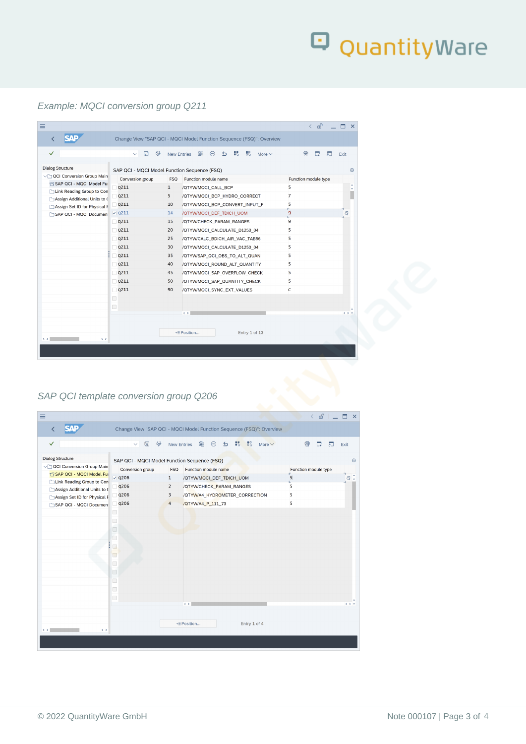# Q QuantityWare

#### Example: MQCI conversion group Q211

| ✓                                                            | $\boxplus$<br>6%<br>$\checkmark$             | <b>New Entries</b> | 88<br>€<br>85<br>$\Theta$<br>$\triangle$<br>More $\vee$ | 帚<br>肩<br>п<br>Exit      |
|--------------------------------------------------------------|----------------------------------------------|--------------------|---------------------------------------------------------|--------------------------|
| <b>Dialog Structure</b>                                      | SAP QCI - MQCI Model Function Sequence (FSQ) |                    |                                                         |                          |
| ∨ QCI Conversion Group Main                                  | Conversion group                             | <b>FSQ</b>         | Function module name                                    | Function module type     |
| SAP QCI - MQCI Model Ful                                     | Q211                                         | $\mathbf{1}$       | <b>/QTYW/MQCI CALL BCP</b>                              | 5                        |
| Link Reading Group to Con                                    | Q211                                         | 5                  | /QTYW/MQCI BCP HYDRO CORRECT                            | $\overline{7}$           |
| Assign Additional Units to (<br>Assign Set ID for Physical F | Q211                                         | 10                 | /QTYW/MQCI_BCP_CONVERT_INPUT_F                          | 5                        |
| SAP QCI - MQCI Documen                                       | $\sqrt{Q211}$                                | 14                 | /QTYW/MQCI_DEF_TDICH_UOM                                | r.<br>$\frac{9}{5}$<br>ą |
|                                                              | $\Box$ Q211                                  | 15                 | /QTYW/CHECK_PARAM_RANGES                                | 9                        |
|                                                              | $\Box$ Q211                                  | 20                 | /QTYW/MQCI CALCULATE D1250 04                           | 5                        |
|                                                              | $\Box$ Q211                                  | 25                 | /QTYW/CALC_BDICH_AIR_VAC_TAB56                          | 5                        |
|                                                              | $\Box$ Q211                                  | 30                 | /QTYW/MQCI_CALCULATE_D1250_04                           | 5                        |
|                                                              | $\Box$ Q211                                  | 35                 | /QTYW/SAP QCI OBS TO ALT QUAN                           | 5                        |
|                                                              | $\Box$ Q211                                  | 40                 | /QTYW/MQCI_ROUND_ALT_QUANTITY                           | 5                        |
|                                                              | $\Box$ Q211                                  | 45                 | /QTYW/MQCI_SAP_OVERFLOW_CHECK                           | 5                        |
|                                                              | $\Box$ Q211                                  | 50                 | <b>/QTYW/MQCI SAP QUANTITY CHECK</b>                    | 5                        |
|                                                              | $\Box$ Q211                                  | 90                 | /QTYW/MQCI_SYNC_EXT_VALUES                              | c                        |
|                                                              | O                                            |                    |                                                         |                          |
|                                                              | $\Box$                                       |                    |                                                         |                          |
|                                                              |                                              |                    | $\leftrightarrow$                                       | $\leftrightarrow$ $\lor$ |
|                                                              |                                              |                    |                                                         |                          |
|                                                              |                                              |                    | →≣ Position<br>Entry 1 of 13                            |                          |

#### SAP QCI template conversion group Q206

| $\equiv$                                                                                                                                                                                                  |                                                                                                                                                                                                                            |                                                                     |                                                                                                                                                          | $\leftarrow$ and $\leftarrow$                                          | $\Box$ $\times$                               |
|-----------------------------------------------------------------------------------------------------------------------------------------------------------------------------------------------------------|----------------------------------------------------------------------------------------------------------------------------------------------------------------------------------------------------------------------------|---------------------------------------------------------------------|----------------------------------------------------------------------------------------------------------------------------------------------------------|------------------------------------------------------------------------|-----------------------------------------------|
| K                                                                                                                                                                                                         |                                                                                                                                                                                                                            |                                                                     | Change View "SAP QCI - MQCI Model Function Sequence (FSQ)": Overview                                                                                     |                                                                        |                                               |
| $\checkmark$                                                                                                                                                                                              | 67<br>$\checkmark$                                                                                                                                                                                                         | <b>New Entries</b>                                                  | 88<br>88<br>€<br>Θ<br>$\triangle$<br>More $\vee$                                                                                                         | 帚<br>C.<br>$\overline{\mathbf{c}}$                                     | Exit                                          |
| <b>Dialog Structure</b><br>∨ QCI Conversion Group Main<br>SAP QCI - MQCI Model Fur<br>Link Reading Group to Con<br>Assign Additional Units to (<br>Assign Set ID for Physical F<br>SAP QCI - MQCI Documen | SAP QCI - MQCI Model Function Sequence (FSQ)<br>Conversion group<br>$\sqrt{Q}$ Q206<br>Q206<br>Q206<br>Q206<br>ш<br>$\Box$<br>$\Box$<br>$\Box$<br>$\Box$<br>łΠ<br>$\Box$<br>$\Box$<br>$\Box$<br>$\Box$<br>$\Box$<br>$\Box$ | <b>FSQ</b><br>$\mathbf{1}$<br>$\overline{2}$<br>3<br>$\overline{4}$ | Function module name<br>/QTYW/MQCI_DEF_TDICH_UOM<br>/QTYW/CHECK_PARAM_RANGES<br>/QTYW/A4_HYDROMETER_CORRECTION<br>/QTYW/A4_P_111_73<br>$\leftrightarrow$ | Function module type<br>$\mathbf{r}_{\mathbf{s}}$<br>Ĺ.<br>5<br>5<br>5 | ◎<br>٦<br>$Q$ $C$<br>$\leftrightarrow$ $\lor$ |
| $\leftrightarrow$<br>$\leftrightarrow$                                                                                                                                                                    |                                                                                                                                                                                                                            |                                                                     | →≣ Position<br>Entry 1 of 4                                                                                                                              |                                                                        |                                               |
|                                                                                                                                                                                                           |                                                                                                                                                                                                                            |                                                                     |                                                                                                                                                          |                                                                        |                                               |